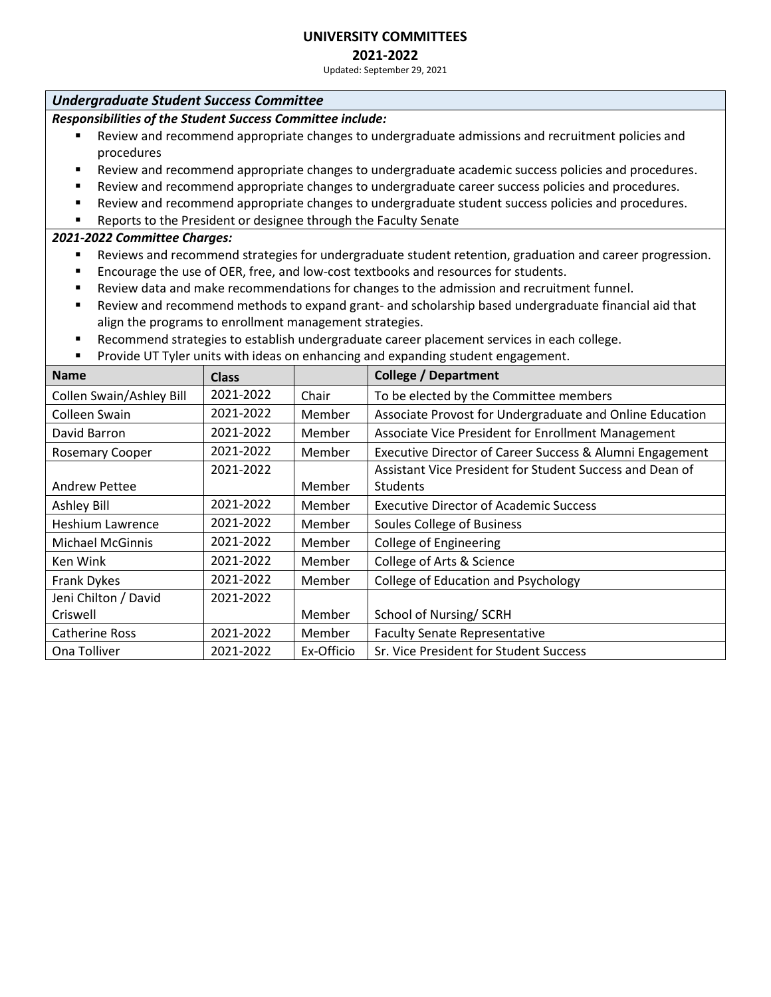# **2021-2022**

Updated: September 29, 2021

# *Undergraduate Student Success Committee*

*Responsibilities of the Student Success Committee include:*

- Review and recommend appropriate changes to undergraduate admissions and recruitment policies and procedures
- Review and recommend appropriate changes to undergraduate academic success policies and procedures.
- Review and recommend appropriate changes to undergraduate career success policies and procedures.
- Review and recommend appropriate changes to undergraduate student success policies and procedures.
- Reports to the President or designee through the Faculty Senate

- Reviews and recommend strategies for undergraduate student retention, graduation and career progression.
- Encourage the use of OER, free, and low-cost textbooks and resources for students.
- Review data and make recommendations for changes to the admission and recruitment funnel.
- Review and recommend methods to expand grant- and scholarship based undergraduate financial aid that align the programs to enrollment management strategies.
- Recommend strategies to establish undergraduate career placement services in each college.
- **•** Provide UT Tyler units with ideas on enhancing and expanding student engagement.

| <b>Name</b>              | <b>Class</b> |            | <b>College / Department</b>                              |
|--------------------------|--------------|------------|----------------------------------------------------------|
| Collen Swain/Ashley Bill | 2021-2022    | Chair      | To be elected by the Committee members                   |
| Colleen Swain            | 2021-2022    | Member     | Associate Provost for Undergraduate and Online Education |
| David Barron             | 2021-2022    | Member     | Associate Vice President for Enrollment Management       |
| <b>Rosemary Cooper</b>   | 2021-2022    | Member     | Executive Director of Career Success & Alumni Engagement |
|                          | 2021-2022    |            | Assistant Vice President for Student Success and Dean of |
| <b>Andrew Pettee</b>     |              | Member     | <b>Students</b>                                          |
| Ashley Bill              | 2021-2022    | Member     | <b>Executive Director of Academic Success</b>            |
| Heshium Lawrence         | 2021-2022    | Member     | Soules College of Business                               |
| <b>Michael McGinnis</b>  | 2021-2022    | Member     | <b>College of Engineering</b>                            |
| Ken Wink                 | 2021-2022    | Member     | College of Arts & Science                                |
| Frank Dykes              | 2021-2022    | Member     | College of Education and Psychology                      |
| Jeni Chilton / David     | 2021-2022    |            |                                                          |
| Criswell                 |              | Member     | School of Nursing/SCRH                                   |
| Catherine Ross           | 2021-2022    | Member     | <b>Faculty Senate Representative</b>                     |
| Ona Tolliver             | 2021-2022    | Ex-Officio | Sr. Vice President for Student Success                   |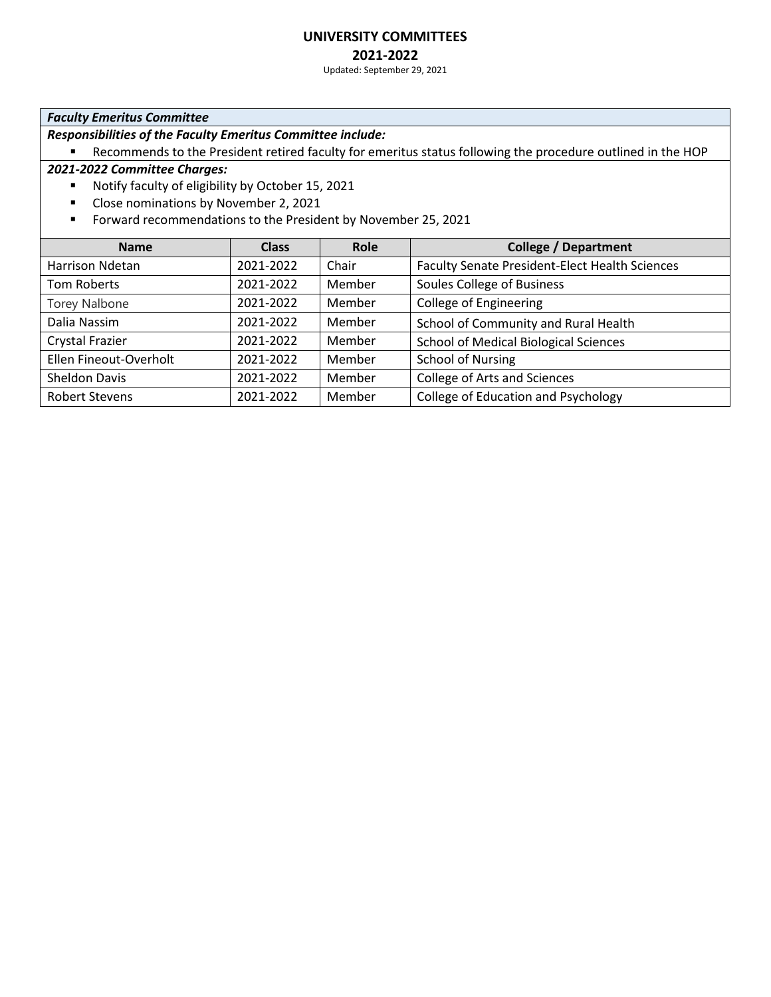### **2021-2022**

Updated: September 29, 2021

#### *Faculty Emeritus Committee*

*Responsibilities of the Faculty Emeritus Committee include:*

■ Recommends to the President retired faculty for emeritus status following the procedure outlined in the HOP

- Notify faculty of eligibility by October 15, 2021
- Close nominations by November 2, 2021
- Forward recommendations to the President by November 25, 2021

| <b>Name</b>            | <b>Class</b> | Role   | <b>College / Department</b>                    |
|------------------------|--------------|--------|------------------------------------------------|
| Harrison Ndetan        | 2021-2022    | Chair  | Faculty Senate President-Elect Health Sciences |
| Tom Roberts            | 2021-2022    | Member | Soules College of Business                     |
| <b>Torey Nalbone</b>   | 2021-2022    | Member | <b>College of Engineering</b>                  |
| Dalia Nassim           | 2021-2022    | Member | School of Community and Rural Health           |
| Crystal Frazier        | 2021-2022    | Member | <b>School of Medical Biological Sciences</b>   |
| Ellen Fineout-Overholt | 2021-2022    | Member | <b>School of Nursing</b>                       |
| Sheldon Davis          | 2021-2022    | Member | College of Arts and Sciences                   |
| <b>Robert Stevens</b>  | 2021-2022    | Member | College of Education and Psychology            |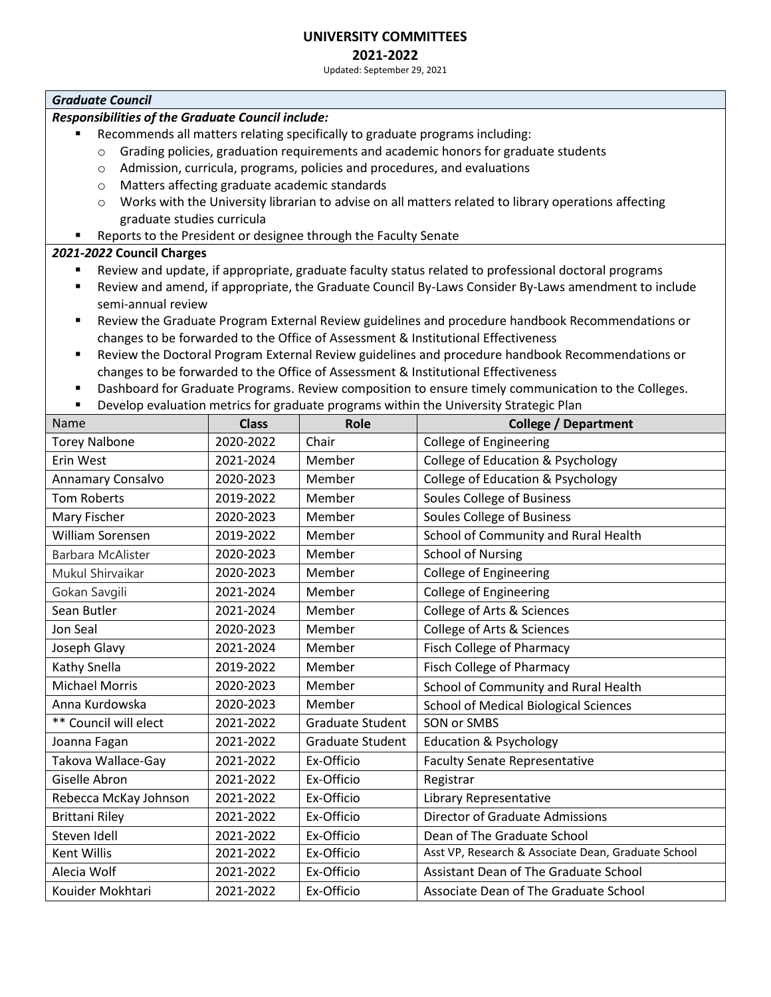# **2021-2022**

Updated: September 29, 2021

#### *Graduate Council*

### *Responsibilities of the Graduate Council include:*

- Recommends all matters relating specifically to graduate programs including:
	- $\circ$  Grading policies, graduation requirements and academic honors for graduate students
	- o Admission, curricula, programs, policies and procedures, and evaluations
	- o Matters affecting graduate academic standards
	- $\circ$  Works with the University librarian to advise on all matters related to library operations affecting graduate studies curricula
- Reports to the President or designee through the Faculty Senate

### *2021-2022* **Council Charges**

- Review and update, if appropriate, graduate faculty status related to professional doctoral programs
- Review and amend, if appropriate, the Graduate Council By-Laws Consider By-Laws amendment to include semi-annual review
- Review the Graduate Program External Review guidelines and procedure handbook Recommendations or changes to be forwarded to the Office of Assessment & Institutional Effectiveness
- Review the Doctoral Program External Review guidelines and procedure handbook Recommendations or changes to be forwarded to the Office of Assessment & Institutional Effectiveness
- **■** Dashboard for Graduate Programs. Review composition to ensure timely communication to the Colleges.
- **■** Develop evaluation metrics for graduate programs within the University Strategic Plan

| Name                     | <b>Class</b> | Role                    | <b>College / Department</b>                         |
|--------------------------|--------------|-------------------------|-----------------------------------------------------|
| <b>Torey Nalbone</b>     | 2020-2022    | Chair                   | <b>College of Engineering</b>                       |
| Erin West                | 2021-2024    | Member                  | College of Education & Psychology                   |
| Annamary Consalvo        | 2020-2023    | Member                  | College of Education & Psychology                   |
| <b>Tom Roberts</b>       | 2019-2022    | Member                  | Soules College of Business                          |
| Mary Fischer             | 2020-2023    | Member                  | Soules College of Business                          |
| William Sorensen         | 2019-2022    | Member                  | School of Community and Rural Health                |
| <b>Barbara McAlister</b> | 2020-2023    | Member                  | <b>School of Nursing</b>                            |
| Mukul Shirvaikar         | 2020-2023    | Member                  | <b>College of Engineering</b>                       |
| Gokan Savgili            | 2021-2024    | Member                  | <b>College of Engineering</b>                       |
| Sean Butler              | 2021-2024    | Member                  | College of Arts & Sciences                          |
| Jon Seal                 | 2020-2023    | Member                  | College of Arts & Sciences                          |
| Joseph Glavy             | 2021-2024    | Member                  | <b>Fisch College of Pharmacy</b>                    |
| Kathy Snella             | 2019-2022    | Member                  | <b>Fisch College of Pharmacy</b>                    |
| <b>Michael Morris</b>    | 2020-2023    | Member                  | School of Community and Rural Health                |
| Anna Kurdowska           | 2020-2023    | Member                  | <b>School of Medical Biological Sciences</b>        |
| ** Council will elect    | 2021-2022    | Graduate Student        | SON or SMBS                                         |
| Joanna Fagan             | 2021-2022    | <b>Graduate Student</b> | <b>Education &amp; Psychology</b>                   |
| Takova Wallace-Gay       | 2021-2022    | Ex-Officio              | <b>Faculty Senate Representative</b>                |
| Giselle Abron            | 2021-2022    | Ex-Officio              | Registrar                                           |
| Rebecca McKay Johnson    | 2021-2022    | Ex-Officio              | Library Representative                              |
| <b>Brittani Riley</b>    | 2021-2022    | Ex-Officio              | <b>Director of Graduate Admissions</b>              |
| Steven Idell             | 2021-2022    | Ex-Officio              | Dean of The Graduate School                         |
| Kent Willis              | 2021-2022    | Ex-Officio              | Asst VP, Research & Associate Dean, Graduate School |
| Alecia Wolf              | 2021-2022    | Ex-Officio              | Assistant Dean of The Graduate School               |
| Kouider Mokhtari         | 2021-2022    | Ex-Officio              | Associate Dean of The Graduate School               |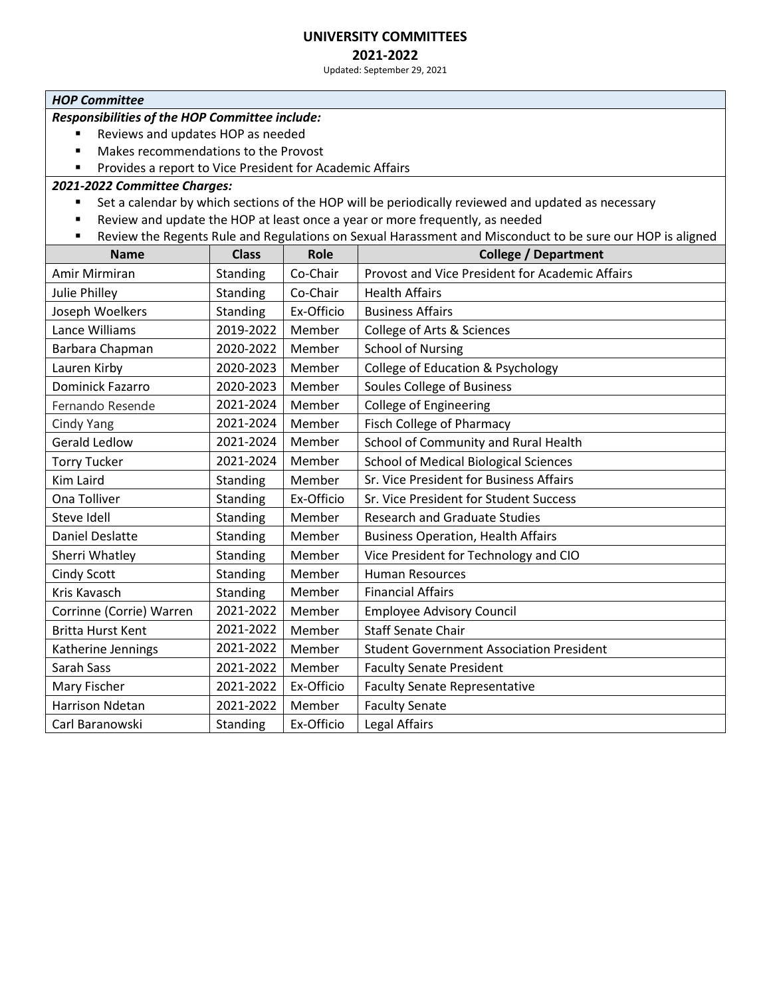# **2021-2022**

Updated: September 29, 2021

#### *HOP Committee*

# *Responsibilities of the HOP Committee include:*

- Reviews and updates HOP as needed
- Makes recommendations to the Provost
- Provides a report to Vice President for Academic Affairs

- Set a calendar by which sections of the HOP will be periodically reviewed and updated as necessary
- Review and update the HOP at least once a year or more frequently, as needed
- Review the Regents Rule and Regulations on Sexual Harassment and Misconduct to be sure our HOP is aligned

| <b>Name</b>              | <b>Class</b> | <b>Role</b> | <b>College / Department</b>                     |
|--------------------------|--------------|-------------|-------------------------------------------------|
| Amir Mirmiran            | Standing     | Co-Chair    | Provost and Vice President for Academic Affairs |
| <b>Julie Philley</b>     | Standing     | Co-Chair    | <b>Health Affairs</b>                           |
| Joseph Woelkers          | Standing     | Ex-Officio  | <b>Business Affairs</b>                         |
| Lance Williams           | 2019-2022    | Member      | College of Arts & Sciences                      |
| Barbara Chapman          | 2020-2022    | Member      | <b>School of Nursing</b>                        |
| Lauren Kirby             | 2020-2023    | Member      | College of Education & Psychology               |
| <b>Dominick Fazarro</b>  | 2020-2023    | Member      | Soules College of Business                      |
| Fernando Resende         | 2021-2024    | Member      | <b>College of Engineering</b>                   |
| <b>Cindy Yang</b>        | 2021-2024    | Member      | <b>Fisch College of Pharmacy</b>                |
| <b>Gerald Ledlow</b>     | 2021-2024    | Member      | School of Community and Rural Health            |
| <b>Torry Tucker</b>      | 2021-2024    | Member      | <b>School of Medical Biological Sciences</b>    |
| Kim Laird                | Standing     | Member      | Sr. Vice President for Business Affairs         |
| Ona Tolliver             | Standing     | Ex-Officio  | Sr. Vice President for Student Success          |
| Steve Idell              | Standing     | Member      | <b>Research and Graduate Studies</b>            |
| <b>Daniel Deslatte</b>   | Standing     | Member      | <b>Business Operation, Health Affairs</b>       |
| Sherri Whatley           | Standing     | Member      | Vice President for Technology and CIO           |
| Cindy Scott              | Standing     | Member      | <b>Human Resources</b>                          |
| Kris Kavasch             | Standing     | Member      | <b>Financial Affairs</b>                        |
| Corrinne (Corrie) Warren | 2021-2022    | Member      | <b>Employee Advisory Council</b>                |
| <b>Britta Hurst Kent</b> | 2021-2022    | Member      | <b>Staff Senate Chair</b>                       |
| Katherine Jennings       | 2021-2022    | Member      | <b>Student Government Association President</b> |
| Sarah Sass               | 2021-2022    | Member      | <b>Faculty Senate President</b>                 |
| Mary Fischer             | 2021-2022    | Ex-Officio  | <b>Faculty Senate Representative</b>            |
| <b>Harrison Ndetan</b>   | 2021-2022    | Member      | <b>Faculty Senate</b>                           |
| Carl Baranowski          | Standing     | Ex-Officio  | Legal Affairs                                   |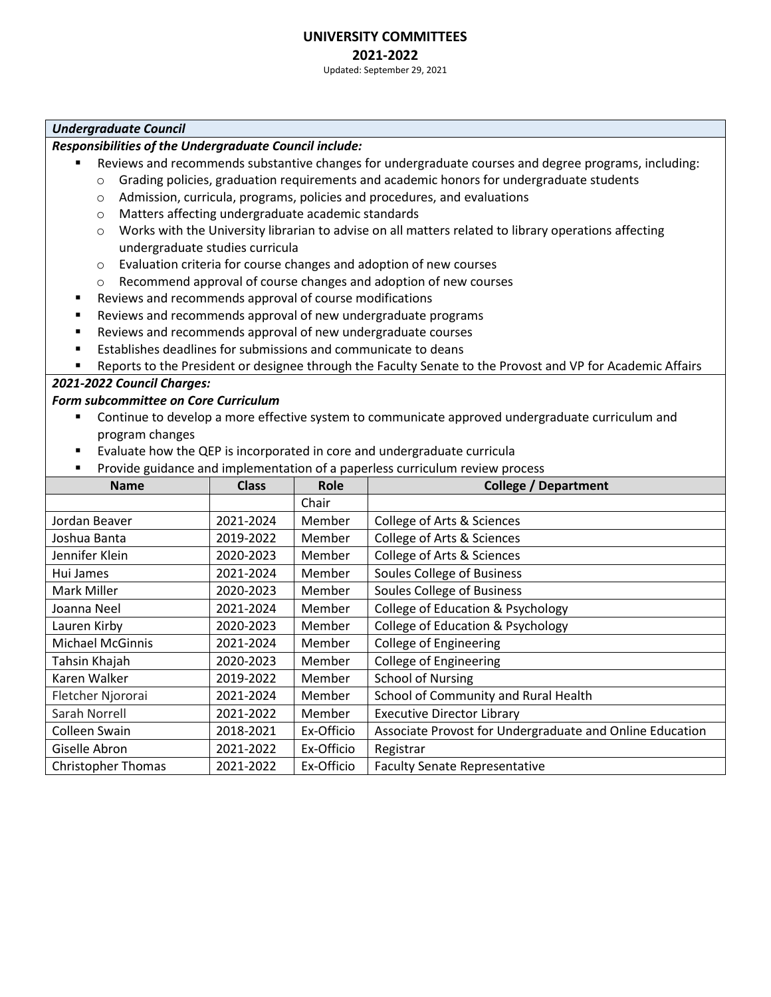# **UNIVERSITY COMMITTEES 2021-2022**

Updated: September 29, 2021

### *Undergraduate Council*

## *Responsibilities of the Undergraduate Council include:*

- Reviews and recommends substantive changes for undergraduate courses and degree programs, including:
	- o Grading policies, graduation requirements and academic honors for undergraduate students
	- o Admission, curricula, programs, policies and procedures, and evaluations
	- o Matters affecting undergraduate academic standards
	- o Works with the University librarian to advise on all matters related to library operations affecting undergraduate studies curricula
	- o Evaluation criteria for course changes and adoption of new courses
	- o Recommend approval of course changes and adoption of new courses
- Reviews and recommends approval of course modifications
- Reviews and recommends approval of new undergraduate programs
- Reviews and recommends approval of new undergraduate courses
- Establishes deadlines for submissions and communicate to deans
- Reports to the President or designee through the Faculty Senate to the Provost and VP for Academic Affairs

# *2021-2022 Council Charges:*

### *Form subcommittee on Core Curriculum*

- Continue to develop a more effective system to communicate approved undergraduate curriculum and program changes
- Evaluate how the QEP is incorporated in core and undergraduate curricula
- Provide guidance and implementation of a paperless curriculum review process

| <b>Name</b>               | <b>Class</b> | <b>Role</b> | <b>College / Department</b>                              |
|---------------------------|--------------|-------------|----------------------------------------------------------|
|                           |              | Chair       |                                                          |
| Jordan Beaver             | 2021-2024    | Member      | College of Arts & Sciences                               |
| Joshua Banta              | 2019-2022    | Member      | College of Arts & Sciences                               |
| Jennifer Klein            | 2020-2023    | Member      | College of Arts & Sciences                               |
| Hui James                 | 2021-2024    | Member      | <b>Soules College of Business</b>                        |
| Mark Miller               | 2020-2023    | Member      | <b>Soules College of Business</b>                        |
| Joanna Neel               | 2021-2024    | Member      | <b>College of Education &amp; Psychology</b>             |
| Lauren Kirby              | 2020-2023    | Member      | College of Education & Psychology                        |
| <b>Michael McGinnis</b>   | 2021-2024    | Member      | College of Engineering                                   |
| Tahsin Khajah             | 2020-2023    | Member      | <b>College of Engineering</b>                            |
| Karen Walker              | 2019-2022    | Member      | <b>School of Nursing</b>                                 |
| Fletcher Njororai         | 2021-2024    | Member      | School of Community and Rural Health                     |
| Sarah Norrell             | 2021-2022    | Member      | <b>Executive Director Library</b>                        |
| Colleen Swain             | 2018-2021    | Ex-Officio  | Associate Provost for Undergraduate and Online Education |
| Giselle Abron             | 2021-2022    | Ex-Officio  | Registrar                                                |
| <b>Christopher Thomas</b> | 2021-2022    | Ex-Officio  | <b>Faculty Senate Representative</b>                     |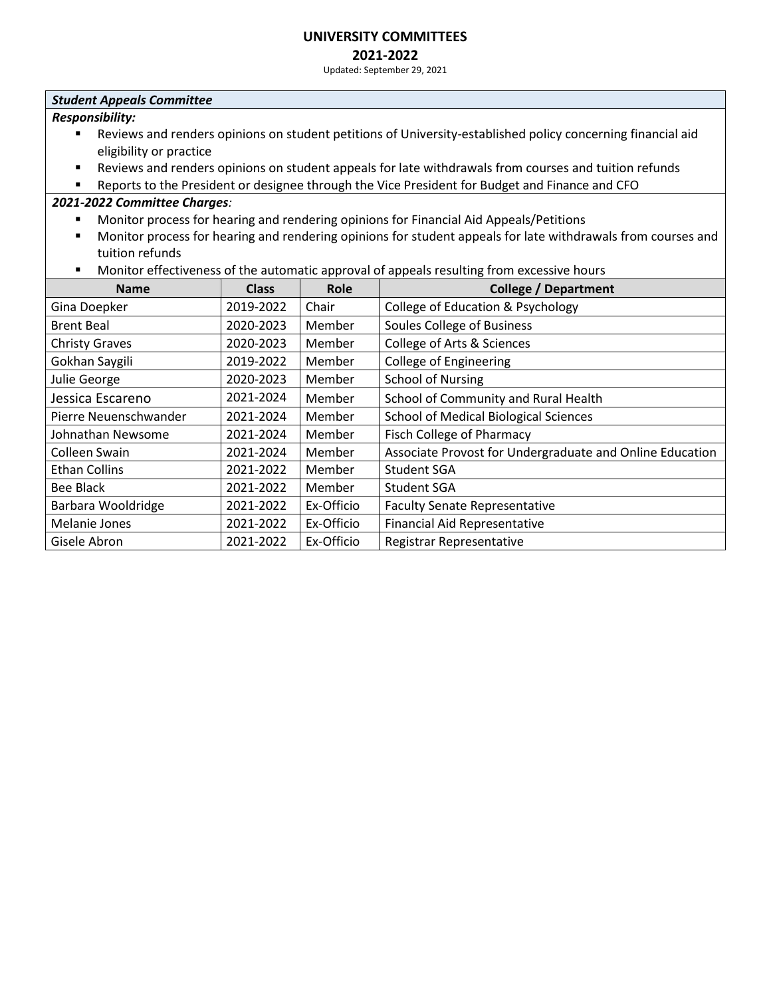# **2021-2022**

Updated: September 29, 2021

#### *Student Appeals Committee*

*Responsibility:*

- Reviews and renders opinions on student petitions of University-established policy concerning financial aid eligibility or practice
- Reviews and renders opinions on student appeals for late withdrawals from courses and tuition refunds
- Reports to the President or designee through the Vice President for Budget and Finance and CFO

- Monitor process for hearing and rendering opinions for Financial Aid Appeals/Petitions
- Monitor process for hearing and rendering opinions for student appeals for late withdrawals from courses and tuition refunds
- Monitor effectiveness of the automatic approval of appeals resulting from excessive hours

| <b>Name</b>           | <b>Class</b> | Role       | <b>College / Department</b>                              |
|-----------------------|--------------|------------|----------------------------------------------------------|
| Gina Doepker          | 2019-2022    | Chair      | College of Education & Psychology                        |
| <b>Brent Beal</b>     | 2020-2023    | Member     | <b>Soules College of Business</b>                        |
| <b>Christy Graves</b> | 2020-2023    | Member     | College of Arts & Sciences                               |
| Gokhan Saygili        | 2019-2022    | Member     | <b>College of Engineering</b>                            |
| Julie George          | 2020-2023    | Member     | <b>School of Nursing</b>                                 |
| Jessica Escareno      | 2021-2024    | Member     | School of Community and Rural Health                     |
| Pierre Neuenschwander | 2021-2024    | Member     | <b>School of Medical Biological Sciences</b>             |
| Johnathan Newsome     | 2021-2024    | Member     | <b>Fisch College of Pharmacy</b>                         |
| Colleen Swain         | 2021-2024    | Member     | Associate Provost for Undergraduate and Online Education |
| <b>Ethan Collins</b>  | 2021-2022    | Member     | <b>Student SGA</b>                                       |
| Bee Black             | 2021-2022    | Member     | <b>Student SGA</b>                                       |
| Barbara Wooldridge    | 2021-2022    | Ex-Officio | <b>Faculty Senate Representative</b>                     |
| Melanie Jones         | 2021-2022    | Ex-Officio | <b>Financial Aid Representative</b>                      |
| Gisele Abron          | 2021-2022    | Ex-Officio | Registrar Representative                                 |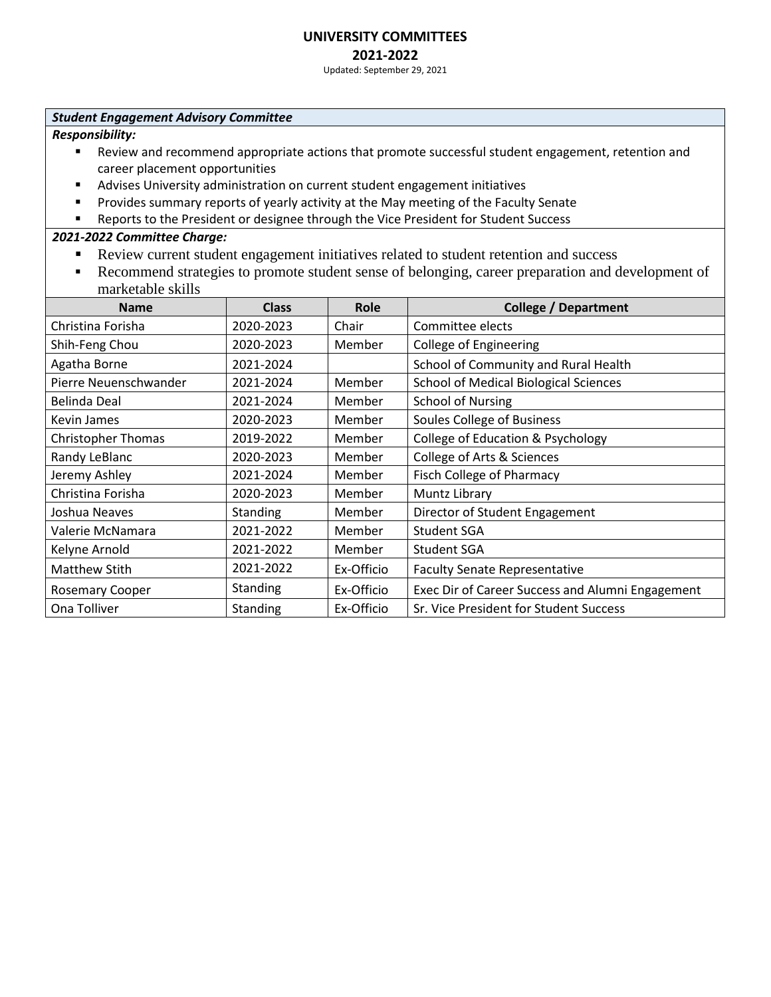# **2021-2022**

Updated: September 29, 2021

#### *Student Engagement Advisory Committee*

*Responsibility:*

- Review and recommend appropriate actions that promote successful student engagement, retention and career placement opportunities
- Advises University administration on current student engagement initiatives
- **•** Provides summary reports of yearly activity at the May meeting of the Faculty Senate
- Reports to the President or designee through the Vice President for Student Success

- Review current student engagement initiatives related to student retention and success
- Recommend strategies to promote student sense of belonging, career preparation and development of marketable skills

| <b>Name</b>               | <b>Class</b> | Role       | <b>College / Department</b>                      |
|---------------------------|--------------|------------|--------------------------------------------------|
| Christina Forisha         | 2020-2023    | Chair      | Committee elects                                 |
| Shih-Feng Chou            | 2020-2023    | Member     | <b>College of Engineering</b>                    |
| Agatha Borne              | 2021-2024    |            | School of Community and Rural Health             |
| Pierre Neuenschwander     | 2021-2024    | Member     | <b>School of Medical Biological Sciences</b>     |
| Belinda Deal              | 2021-2024    | Member     | <b>School of Nursing</b>                         |
| Kevin James               | 2020-2023    | Member     | <b>Soules College of Business</b>                |
| <b>Christopher Thomas</b> | 2019-2022    | Member     | College of Education & Psychology                |
| Randy LeBlanc             | 2020-2023    | Member     | College of Arts & Sciences                       |
| Jeremy Ashley             | 2021-2024    | Member     | <b>Fisch College of Pharmacy</b>                 |
| Christina Forisha         | 2020-2023    | Member     | Muntz Library                                    |
| Joshua Neaves             | Standing     | Member     | Director of Student Engagement                   |
| Valerie McNamara          | 2021-2022    | Member     | <b>Student SGA</b>                               |
| Kelyne Arnold             | 2021-2022    | Member     | <b>Student SGA</b>                               |
| <b>Matthew Stith</b>      | 2021-2022    | Ex-Officio | <b>Faculty Senate Representative</b>             |
| <b>Rosemary Cooper</b>    | Standing     | Ex-Officio | Exec Dir of Career Success and Alumni Engagement |
| Ona Tolliver              | Standing     | Ex-Officio | Sr. Vice President for Student Success           |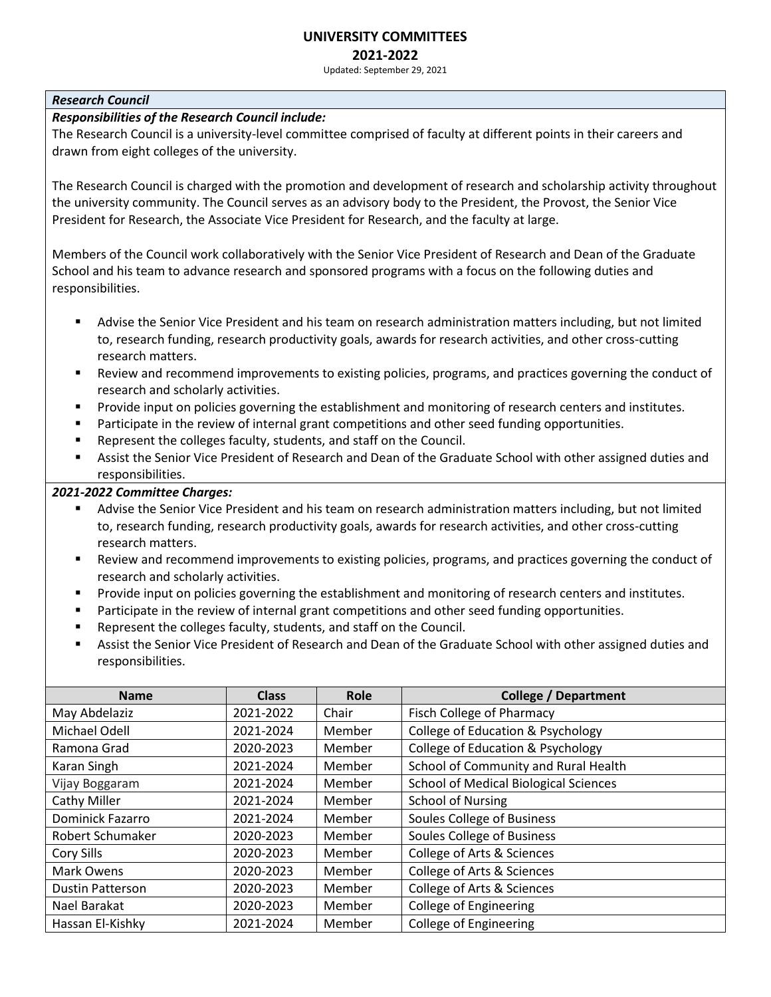#### **UNIVERSITY COMMITTEES 2021-2022**

Updated: September 29, 2021

### *Research Council*

### *Responsibilities of the Research Council include:*

The Research Council is a university-level committee comprised of faculty at different points in their careers and drawn from eight colleges of the university.

The Research Council is charged with the promotion and development of research and scholarship activity throughout the university community. The Council serves as an advisory body to the President, the Provost, the Senior Vice President for Research, the Associate Vice President for Research, and the faculty at large.

Members of the Council work collaboratively with the Senior Vice President of Research and Dean of the Graduate School and his team to advance research and sponsored programs with a focus on the following duties and responsibilities.

- Advise the Senior Vice President and his team on research administration matters including, but not limited to, research funding, research productivity goals, awards for research activities, and other cross-cutting research matters.
- Review and recommend improvements to existing policies, programs, and practices governing the conduct of research and scholarly activities.
- **•** Provide input on policies governing the establishment and monitoring of research centers and institutes.
- **•** Participate in the review of internal grant competitions and other seed funding opportunities.
- Represent the colleges faculty, students, and staff on the Council.
- Assist the Senior Vice President of Research and Dean of the Graduate School with other assigned duties and responsibilities.

- Advise the Senior Vice President and his team on research administration matters including, but not limited to, research funding, research productivity goals, awards for research activities, and other cross-cutting research matters.
- Review and recommend improvements to existing policies, programs, and practices governing the conduct of research and scholarly activities.
- Provide input on policies governing the establishment and monitoring of research centers and institutes.
- Participate in the review of internal grant competitions and other seed funding opportunities.
- Represent the colleges faculty, students, and staff on the Council.
- Assist the Senior Vice President of Research and Dean of the Graduate School with other assigned duties and responsibilities.

| <b>Name</b>             | <b>Class</b> | Role   | <b>College / Department</b>                  |
|-------------------------|--------------|--------|----------------------------------------------|
| May Abdelaziz           | 2021-2022    | Chair  | <b>Fisch College of Pharmacy</b>             |
| Michael Odell           | 2021-2024    | Member | <b>College of Education &amp; Psychology</b> |
| Ramona Grad             | 2020-2023    | Member | <b>College of Education &amp; Psychology</b> |
| Karan Singh             | 2021-2024    | Member | School of Community and Rural Health         |
| Vijay Boggaram          | 2021-2024    | Member | <b>School of Medical Biological Sciences</b> |
| <b>Cathy Miller</b>     | 2021-2024    | Member | <b>School of Nursing</b>                     |
| Dominick Fazarro        | 2021-2024    | Member | <b>Soules College of Business</b>            |
| Robert Schumaker        | 2020-2023    | Member | Soules College of Business                   |
| Cory Sills              | 2020-2023    | Member | <b>College of Arts &amp; Sciences</b>        |
| Mark Owens              | 2020-2023    | Member | College of Arts & Sciences                   |
| <b>Dustin Patterson</b> | 2020-2023    | Member | College of Arts & Sciences                   |
| Nael Barakat            | 2020-2023    | Member | College of Engineering                       |
| Hassan El-Kishky        | 2021-2024    | Member | <b>College of Engineering</b>                |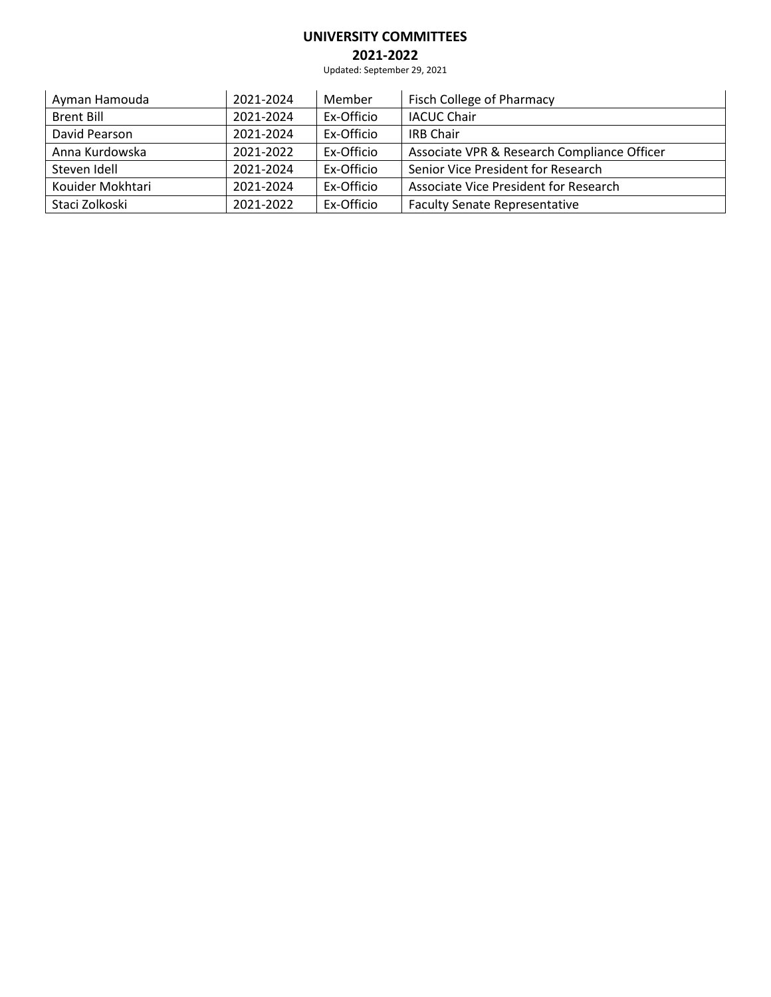# **2021-2022**

Updated: September 29, 2021

| Ayman Hamouda     | 2021-2024 | Member     | Fisch College of Pharmacy                   |
|-------------------|-----------|------------|---------------------------------------------|
| <b>Brent Bill</b> | 2021-2024 | Ex-Officio | <b>IACUC Chair</b>                          |
| David Pearson     | 2021-2024 | Ex-Officio | <b>IRB Chair</b>                            |
| Anna Kurdowska    | 2021-2022 | Ex-Officio | Associate VPR & Research Compliance Officer |
| Steven Idell      | 2021-2024 | Ex-Officio | Senior Vice President for Research          |
| Kouider Mokhtari  | 2021-2024 | Ex-Officio | Associate Vice President for Research       |
| Staci Zolkoski    | 2021-2022 | Ex-Officio | <b>Faculty Senate Representative</b>        |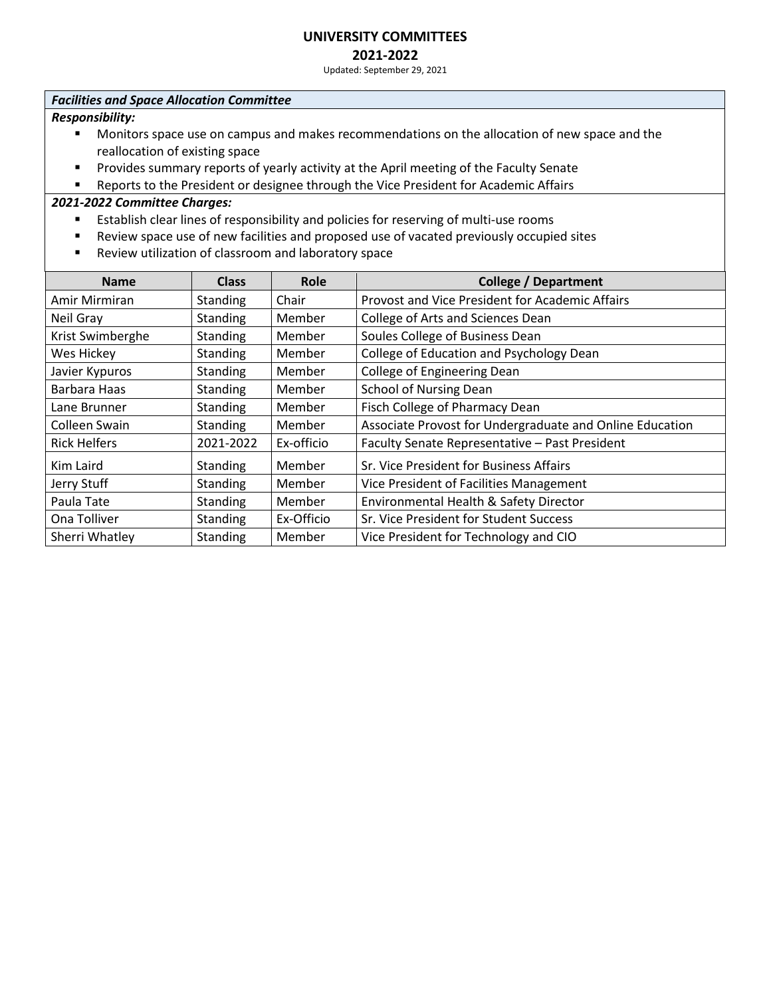# **2021-2022**

Updated: September 29, 2021

#### *Facilities and Space Allocation Committee*

*Responsibility:*

- Monitors space use on campus and makes recommendations on the allocation of new space and the reallocation of existing space
- **EXP** Provides summary reports of yearly activity at the April meeting of the Faculty Senate
- Reports to the President or designee through the Vice President for Academic Affairs

- Establish clear lines of responsibility and policies for reserving of multi-use rooms
- Review space use of new facilities and proposed use of vacated previously occupied sites
- Review utilization of classroom and laboratory space

| <b>Name</b>         | <b>Class</b>    | Role       | <b>College / Department</b>                              |
|---------------------|-----------------|------------|----------------------------------------------------------|
| Amir Mirmiran       | <b>Standing</b> | Chair      | Provost and Vice President for Academic Affairs          |
| Neil Gray           | <b>Standing</b> | Member     | College of Arts and Sciences Dean                        |
| Krist Swimberghe    | <b>Standing</b> | Member     | Soules College of Business Dean                          |
| Wes Hickey          | <b>Standing</b> | Member     | College of Education and Psychology Dean                 |
| Javier Kypuros      | <b>Standing</b> | Member     | College of Engineering Dean                              |
| Barbara Haas        | <b>Standing</b> | Member     | <b>School of Nursing Dean</b>                            |
| Lane Brunner        | <b>Standing</b> | Member     | Fisch College of Pharmacy Dean                           |
| Colleen Swain       | <b>Standing</b> | Member     | Associate Provost for Undergraduate and Online Education |
| <b>Rick Helfers</b> | 2021-2022       | Ex-officio | Faculty Senate Representative - Past President           |
| Kim Laird           | <b>Standing</b> | Member     | Sr. Vice President for Business Affairs                  |
| Jerry Stuff         | <b>Standing</b> | Member     | Vice President of Facilities Management                  |
| Paula Tate          | <b>Standing</b> | Member     | Environmental Health & Safety Director                   |
| Ona Tolliver        | <b>Standing</b> | Ex-Officio | Sr. Vice President for Student Success                   |
| Sherri Whatley      | Standing        | Member     | Vice President for Technology and CIO                    |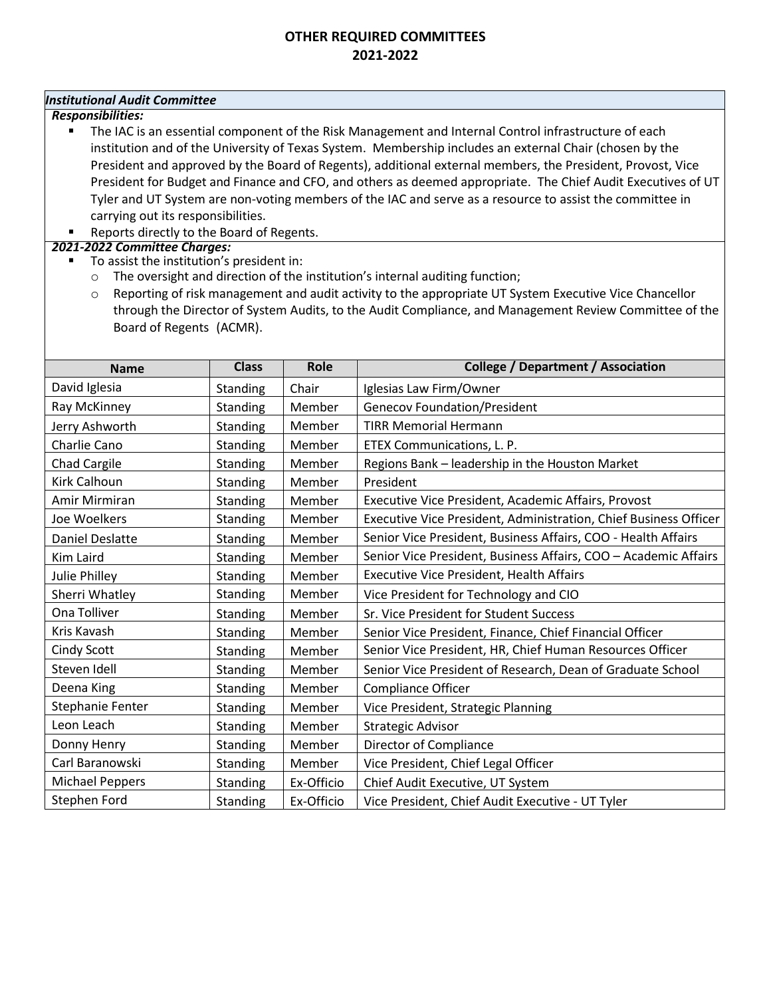### *Institutional Audit Committee*

*Responsibilities:*

- The IAC is an essential component of the Risk Management and Internal Control infrastructure of each institution and of the University of Texas System. Membership includes an external Chair (chosen by the President and approved by the Board of Regents), additional external members, the President, Provost, Vice President for Budget and Finance and CFO, and others as deemed appropriate. The Chief Audit Executives of UT Tyler and UT System are non-voting members of the IAC and serve as a resource to assist the committee in carrying out its responsibilities.
- Reports directly to the Board of Regents.

- To assist the institution's president in:
	- o The oversight and direction of the institution's internal auditing function;
	- o Reporting of risk management and audit activity to the appropriate UT System Executive Vice Chancellor through the Director of System Audits, to the Audit Compliance, and Management Review Committee of the Board of Regents (ACMR).

| <b>Name</b>            | <b>Class</b>    | Role       | <b>College / Department / Association</b>                        |
|------------------------|-----------------|------------|------------------------------------------------------------------|
| David Iglesia          | <b>Standing</b> | Chair      | Iglesias Law Firm/Owner                                          |
| Ray McKinney           | Standing        | Member     | <b>Genecov Foundation/President</b>                              |
| Jerry Ashworth         | <b>Standing</b> | Member     | <b>TIRR Memorial Hermann</b>                                     |
| Charlie Cano           | Standing        | Member     | ETEX Communications, L. P.                                       |
| Chad Cargile           | Standing        | Member     | Regions Bank - leadership in the Houston Market                  |
| Kirk Calhoun           | Standing        | Member     | President                                                        |
| Amir Mirmiran          | Standing        | Member     | Executive Vice President, Academic Affairs, Provost              |
| Joe Woelkers           | <b>Standing</b> | Member     | Executive Vice President, Administration, Chief Business Officer |
| <b>Daniel Deslatte</b> | Standing        | Member     | Senior Vice President, Business Affairs, COO - Health Affairs    |
| Kim Laird              | <b>Standing</b> | Member     | Senior Vice President, Business Affairs, COO - Academic Affairs  |
| Julie Philley          | <b>Standing</b> | Member     | <b>Executive Vice President, Health Affairs</b>                  |
| Sherri Whatley         | Standing        | Member     | Vice President for Technology and CIO                            |
| Ona Tolliver           | <b>Standing</b> | Member     | Sr. Vice President for Student Success                           |
| Kris Kavash            | Standing        | Member     | Senior Vice President, Finance, Chief Financial Officer          |
| Cindy Scott            | Standing        | Member     | Senior Vice President, HR, Chief Human Resources Officer         |
| Steven Idell           | Standing        | Member     | Senior Vice President of Research, Dean of Graduate School       |
| Deena King             | Standing        | Member     | Compliance Officer                                               |
| Stephanie Fenter       | Standing        | Member     | Vice President, Strategic Planning                               |
| Leon Leach             | Standing        | Member     | <b>Strategic Advisor</b>                                         |
| Donny Henry            | Standing        | Member     | Director of Compliance                                           |
| Carl Baranowski        | Standing        | Member     | Vice President, Chief Legal Officer                              |
| <b>Michael Peppers</b> | Standing        | Ex-Officio | Chief Audit Executive, UT System                                 |
| Stephen Ford           | Standing        | Ex-Officio | Vice President, Chief Audit Executive - UT Tyler                 |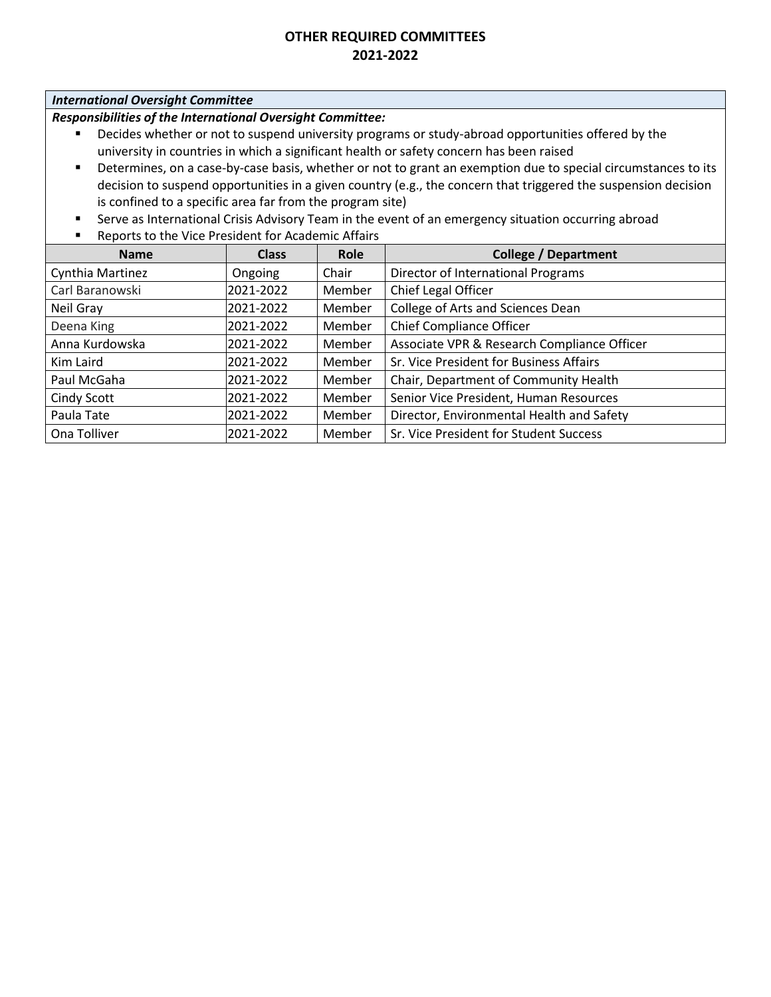### *International Oversight Committee*

*Responsibilities of the International Oversight Committee:*

- Decides whether or not to suspend university programs or study-abroad opportunities offered by the university in countries in which a significant health or safety concern has been raised
- Determines, on a case-by-case basis, whether or not to grant an exemption due to special circumstances to its decision to suspend opportunities in a given country (e.g., the concern that triggered the suspension decision is confined to a specific area far from the program site)
- **EXECT** Serve as International Crisis Advisory Team in the event of an emergency situation occurring abroad
- Reports to the Vice President for Academic Affairs

| <b>Name</b>      | <b>Class</b> | Role   | <b>College / Department</b>                 |
|------------------|--------------|--------|---------------------------------------------|
| Cynthia Martinez | Ongoing      | Chair  | Director of International Programs          |
| Carl Baranowski  | 2021-2022    | Member | Chief Legal Officer                         |
| Neil Gray        | 2021-2022    | Member | College of Arts and Sciences Dean           |
| Deena King       | 2021-2022    | Member | <b>Chief Compliance Officer</b>             |
| Anna Kurdowska   | 2021-2022    | Member | Associate VPR & Research Compliance Officer |
| Kim Laird        | 2021-2022    | Member | Sr. Vice President for Business Affairs     |
| Paul McGaha      | 2021-2022    | Member | Chair, Department of Community Health       |
| Cindy Scott      | 2021-2022    | Member | Senior Vice President, Human Resources      |
| Paula Tate       | 2021-2022    | Member | Director, Environmental Health and Safety   |
| Ona Tolliver     | 2021-2022    | Member | Sr. Vice President for Student Success      |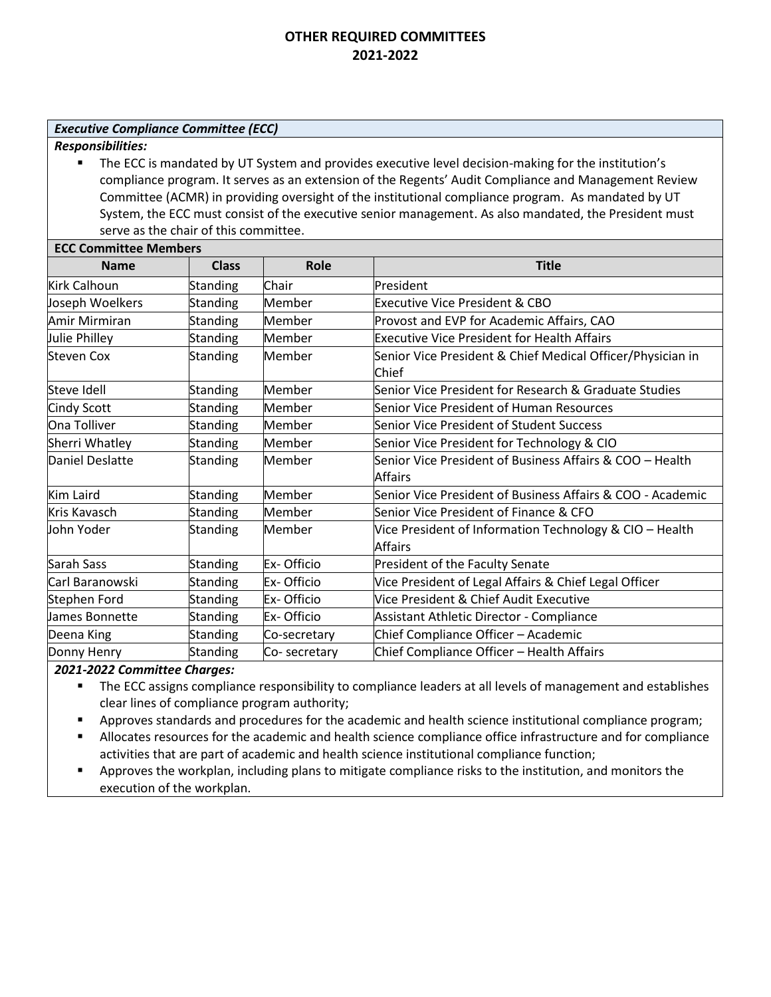#### *Executive Compliance Committee (ECC)*

*Responsibilities:*

■ The ECC is mandated by UT System and provides executive level decision-making for the institution's compliance program. It serves as an extension of the Regents' Audit Compliance and Management Review Committee (ACMR) in providing oversight of the institutional compliance program. As mandated by UT System, the ECC must consist of the executive senior management. As also mandated, the President must serve as the chair of this committee.

| <b>ECC Committee Members</b> |                 |              |                                                                           |  |
|------------------------------|-----------------|--------------|---------------------------------------------------------------------------|--|
| <b>Name</b>                  | <b>Class</b>    | Role         | <b>Title</b>                                                              |  |
| <b>Kirk Calhoun</b>          | Standing        | Chair        | President                                                                 |  |
| Joseph Woelkers              | <b>Standing</b> | Member       | Executive Vice President & CBO                                            |  |
| Amir Mirmiran                | <b>Standing</b> | Member       | Provost and EVP for Academic Affairs, CAO                                 |  |
| Julie Philley                | <b>Standing</b> | Member       | <b>Executive Vice President for Health Affairs</b>                        |  |
| <b>Steven Cox</b>            | <b>Standing</b> | Member       | Senior Vice President & Chief Medical Officer/Physician in<br>Chief       |  |
| Steve Idell                  | Standing        | Member       | Senior Vice President for Research & Graduate Studies                     |  |
| Cindy Scott                  | <b>Standing</b> | Member       | Senior Vice President of Human Resources                                  |  |
| Ona Tolliver                 | Standing        | Member       | Senior Vice President of Student Success                                  |  |
| Sherri Whatley               | Standing        | Member       | Senior Vice President for Technology & CIO                                |  |
| Daniel Deslatte              | <b>Standing</b> | Member       | Senior Vice President of Business Affairs & COO – Health<br>Affairs       |  |
| <b>Kim Laird</b>             | <b>Standing</b> | Member       | Senior Vice President of Business Affairs & COO - Academic                |  |
| <b>Kris Kavasch</b>          | <b>Standing</b> | Member       | Senior Vice President of Finance & CFO                                    |  |
| John Yoder                   | <b>Standing</b> | Member       | Vice President of Information Technology & CIO - Health<br><b>Affairs</b> |  |
| Sarah Sass                   | Standing        | Ex-Officio   | President of the Faculty Senate                                           |  |
| Carl Baranowski              | Standing        | Ex-Officio   | Vice President of Legal Affairs & Chief Legal Officer                     |  |
| Stephen Ford                 | <b>Standing</b> | Ex-Officio   | Vice President & Chief Audit Executive                                    |  |
| llames Bonnette              | <b>Standing</b> | Ex-Officio   | <b>Assistant Athletic Director - Compliance</b>                           |  |
| Deena King                   | <b>Standing</b> | Co-secretary | Chief Compliance Officer - Academic                                       |  |
| Donny Henry                  | <b>Standing</b> | Co-secretary | Chief Compliance Officer - Health Affairs                                 |  |

- The ECC assigns compliance responsibility to compliance leaders at all levels of management and establishes clear lines of compliance program authority;
- **•** Approves standards and procedures for the academic and health science institutional compliance program;
- Allocates resources for the academic and health science compliance office infrastructure and for compliance activities that are part of academic and health science institutional compliance function;
- **•** Approves the workplan, including plans to mitigate compliance risks to the institution, and monitors the execution of the workplan.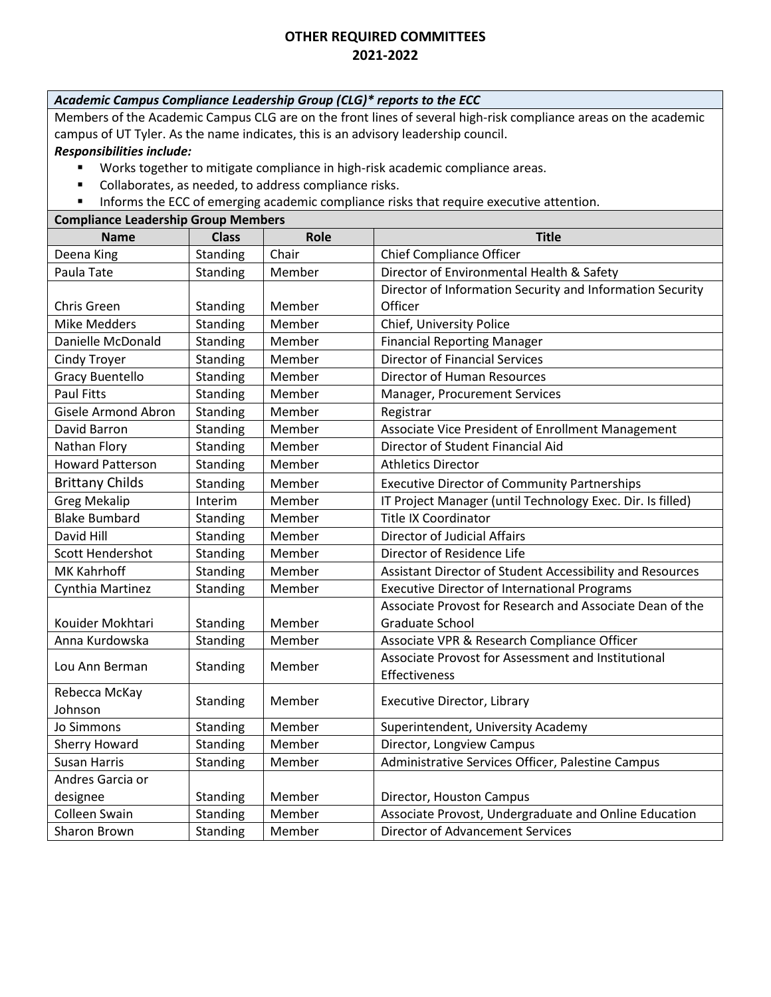# *Academic Campus Compliance Leadership Group (CLG)\* reports to the ECC*

Members of the Academic Campus CLG are on the front lines of several high-risk compliance areas on the academic campus of UT Tyler. As the name indicates, this is an advisory leadership council.

#### *Responsibilities include:*

- Works together to mitigate compliance in high-risk academic compliance areas.
- Collaborates, as needed, to address compliance risks.
- **·** Informs the ECC of emerging academic compliance risks that require executive attention.

# **Compliance Leadership Group Members**

| <b>Name</b>                | <b>Class</b> | Role   | <b>Title</b>                                               |
|----------------------------|--------------|--------|------------------------------------------------------------|
| Deena King                 | Standing     | Chair  | <b>Chief Compliance Officer</b>                            |
| Paula Tate                 | Standing     | Member | Director of Environmental Health & Safety                  |
|                            |              |        | Director of Information Security and Information Security  |
| Chris Green                | Standing     | Member | Officer                                                    |
| <b>Mike Medders</b>        | Standing     | Member | Chief, University Police                                   |
| Danielle McDonald          | Standing     | Member | <b>Financial Reporting Manager</b>                         |
| <b>Cindy Troyer</b>        | Standing     | Member | <b>Director of Financial Services</b>                      |
| <b>Gracy Buentello</b>     | Standing     | Member | Director of Human Resources                                |
| <b>Paul Fitts</b>          | Standing     | Member | Manager, Procurement Services                              |
| <b>Gisele Armond Abron</b> | Standing     | Member | Registrar                                                  |
| David Barron               | Standing     | Member | Associate Vice President of Enrollment Management          |
| Nathan Flory               | Standing     | Member | Director of Student Financial Aid                          |
| <b>Howard Patterson</b>    | Standing     | Member | <b>Athletics Director</b>                                  |
| <b>Brittany Childs</b>     | Standing     | Member | <b>Executive Director of Community Partnerships</b>        |
| <b>Greg Mekalip</b>        | Interim      | Member | IT Project Manager (until Technology Exec. Dir. Is filled) |
| <b>Blake Bumbard</b>       | Standing     | Member | <b>Title IX Coordinator</b>                                |
| David Hill                 | Standing     | Member | <b>Director of Judicial Affairs</b>                        |
| <b>Scott Hendershot</b>    | Standing     | Member | Director of Residence Life                                 |
| MK Kahrhoff                | Standing     | Member | Assistant Director of Student Accessibility and Resources  |
| Cynthia Martinez           | Standing     | Member | <b>Executive Director of International Programs</b>        |
|                            |              |        | Associate Provost for Research and Associate Dean of the   |
| Kouider Mokhtari           | Standing     | Member | <b>Graduate School</b>                                     |
| Anna Kurdowska             | Standing     | Member | Associate VPR & Research Compliance Officer                |
| Lou Ann Berman             |              | Member | Associate Provost for Assessment and Institutional         |
|                            | Standing     |        | Effectiveness                                              |
| Rebecca McKay              |              | Member | Executive Director, Library                                |
| Johnson                    | Standing     |        |                                                            |
| <b>Jo Simmons</b>          | Standing     | Member | Superintendent, University Academy                         |
| Sherry Howard              | Standing     | Member | Director, Longview Campus                                  |
| <b>Susan Harris</b>        | Standing     | Member | Administrative Services Officer, Palestine Campus          |
| Andres Garcia or           |              |        |                                                            |
| designee                   | Standing     | Member | Director, Houston Campus                                   |
| Colleen Swain              | Standing     | Member | Associate Provost, Undergraduate and Online Education      |
| <b>Sharon Brown</b>        | Standing     | Member | <b>Director of Advancement Services</b>                    |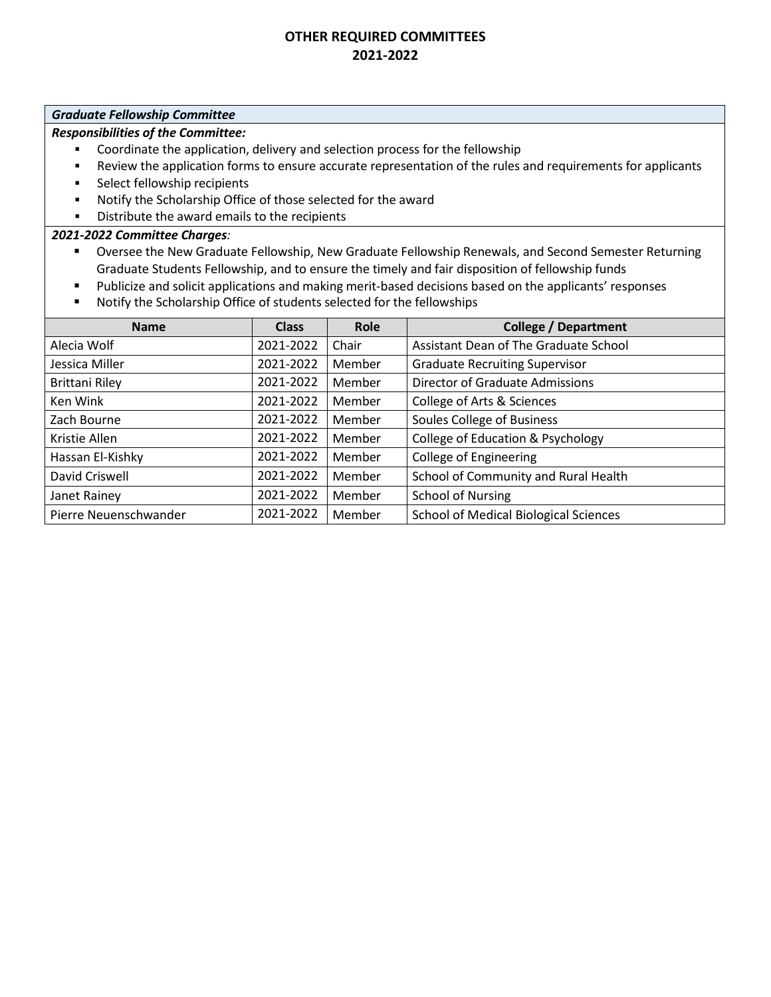#### *Graduate Fellowship Committee*

### *Responsibilities of the Committee:*

- Coordinate the application, delivery and selection process for the fellowship
- Review the application forms to ensure accurate representation of the rules and requirements for applicants
- Select fellowship recipients
- Notify the Scholarship Office of those selected for the award
- Distribute the award emails to the recipients

- Oversee the New Graduate Fellowship, New Graduate Fellowship Renewals, and Second Semester Returning Graduate Students Fellowship, and to ensure the timely and fair disposition of fellowship funds
	- Publicize and solicit applications and making merit-based decisions based on the applicants' responses
- Notify the Scholarship Office of students selected for the fellowships

| <b>Name</b>           | <b>Class</b> | Role   | <b>College / Department</b>                  |
|-----------------------|--------------|--------|----------------------------------------------|
| Alecia Wolf           | 2021-2022    | Chair  | Assistant Dean of The Graduate School        |
| Jessica Miller        | 2021-2022    | Member | <b>Graduate Recruiting Supervisor</b>        |
| <b>Brittani Riley</b> | 2021-2022    | Member | <b>Director of Graduate Admissions</b>       |
| Ken Wink              | 2021-2022    | Member | College of Arts & Sciences                   |
| Zach Bourne           | 2021-2022    | Member | Soules College of Business                   |
| Kristie Allen         | 2021-2022    | Member | <b>College of Education &amp; Psychology</b> |
| Hassan El-Kishky      | 2021-2022    | Member | <b>College of Engineering</b>                |
| David Criswell        | 2021-2022    | Member | School of Community and Rural Health         |
| Janet Rainey          | 2021-2022    | Member | <b>School of Nursing</b>                     |
| Pierre Neuenschwander | 2021-2022    | Member | <b>School of Medical Biological Sciences</b> |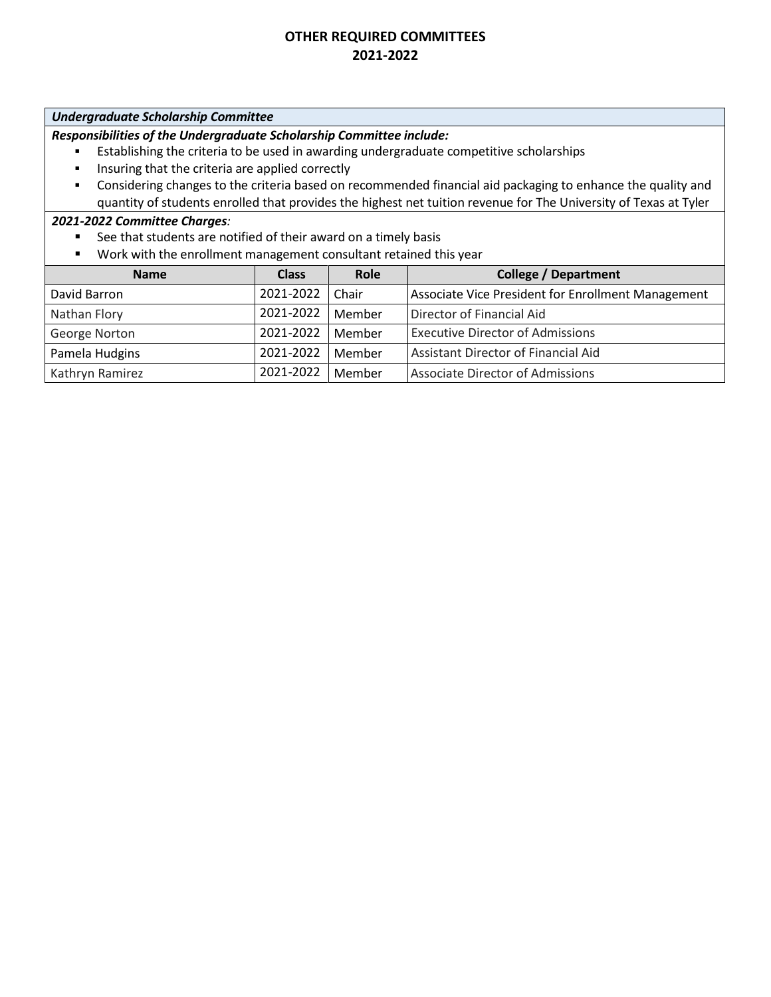### *Undergraduate Scholarship Committee*

*Responsibilities of the Undergraduate Scholarship Committee include:*

- Establishing the criteria to be used in awarding undergraduate competitive scholarships
- **·** Insuring that the criteria are applied correctly
- Considering changes to the criteria based on recommended financial aid packaging to enhance the quality and quantity of students enrolled that provides the highest net tuition revenue for The University of Texas at Tyler

- See that students are notified of their award on a timely basis
- Work with the enrollment management consultant retained this year

| <b>Name</b>     | <b>Class</b> | Role   | <b>College / Department</b>                        |
|-----------------|--------------|--------|----------------------------------------------------|
| David Barron    | 2021-2022    | Chair  | Associate Vice President for Enrollment Management |
| Nathan Flory    | 2021-2022    | Member | Director of Financial Aid                          |
| George Norton   | 2021-2022    | Member | <b>Executive Director of Admissions</b>            |
| Pamela Hudgins  | 2021-2022    | Member | Assistant Director of Financial Aid                |
| Kathryn Ramirez | 2021-2022    | Member | <b>Associate Director of Admissions</b>            |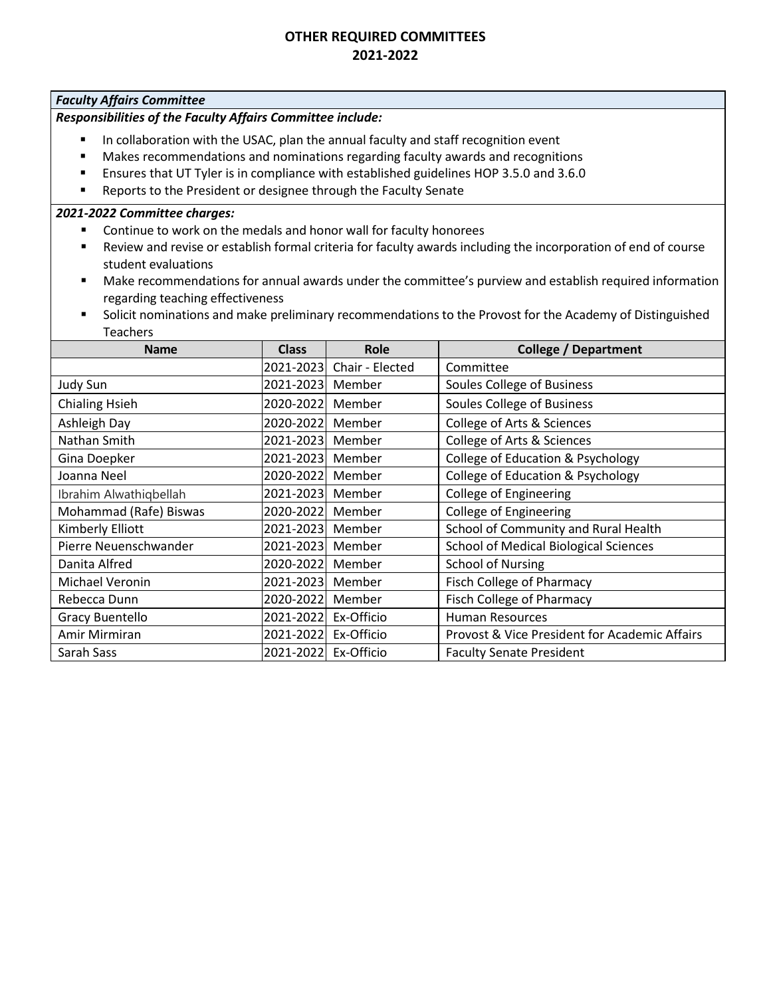#### *Faculty Affairs Committee*

# *Responsibilities of the Faculty Affairs Committee include:*

- In collaboration with the USAC, plan the annual faculty and staff recognition event
- Makes recommendations and nominations regarding faculty awards and recognitions
- Ensures that UT Tyler is in compliance with established guidelines HOP 3.5.0 and 3.6.0
- Reports to the President or designee through the Faculty Senate

- Continue to work on the medals and honor wall for faculty honorees
- Review and revise or establish formal criteria for faculty awards including the incorporation of end of course student evaluations
- Make recommendations for annual awards under the committee's purview and establish required information regarding teaching effectiveness
- Solicit nominations and make preliminary recommendations to the Provost for the Academy of Distinguished Teachers

| <b>Name</b>             | <b>Class</b> | Role            | <b>College / Department</b>                   |
|-------------------------|--------------|-----------------|-----------------------------------------------|
|                         | 2021-2023    | Chair - Elected | Committee                                     |
| Judy Sun                | 2021-2023    | Member          | Soules College of Business                    |
| <b>Chialing Hsieh</b>   | 2020-2022    | Member          | Soules College of Business                    |
| Ashleigh Day            | 2020-2022    | Member          | College of Arts & Sciences                    |
| Nathan Smith            | 2021-2023    | Member          | College of Arts & Sciences                    |
| Gina Doepker            | 2021-2023    | Member          | College of Education & Psychology             |
| Joanna Neel             | 2020-2022    | Member          | College of Education & Psychology             |
| Ibrahim Alwathiqbellah  | 2021-2023    | Member          | <b>College of Engineering</b>                 |
| Mohammad (Rafe) Biswas  | 2020-2022    | Member          | <b>College of Engineering</b>                 |
| Kimberly Elliott        | 2021-2023    | Member          | School of Community and Rural Health          |
| Pierre Neuenschwander   | 2021-2023    | Member          | <b>School of Medical Biological Sciences</b>  |
| Danita Alfred           | 2020-2022    | Member          | <b>School of Nursing</b>                      |
| Michael Veronin         | 2021-2023    | Member          | Fisch College of Pharmacy                     |
| Rebecca Dunn            | 2020-2022    | Member          | Fisch College of Pharmacy                     |
| Gracy Buentello         | 2021-2022    | Ex-Officio      | <b>Human Resources</b>                        |
| Amir Mirmiran           | 2021-2022    | Ex-Officio      | Provost & Vice President for Academic Affairs |
| 2021-2022<br>Sarah Sass |              | Ex-Officio      | <b>Faculty Senate President</b>               |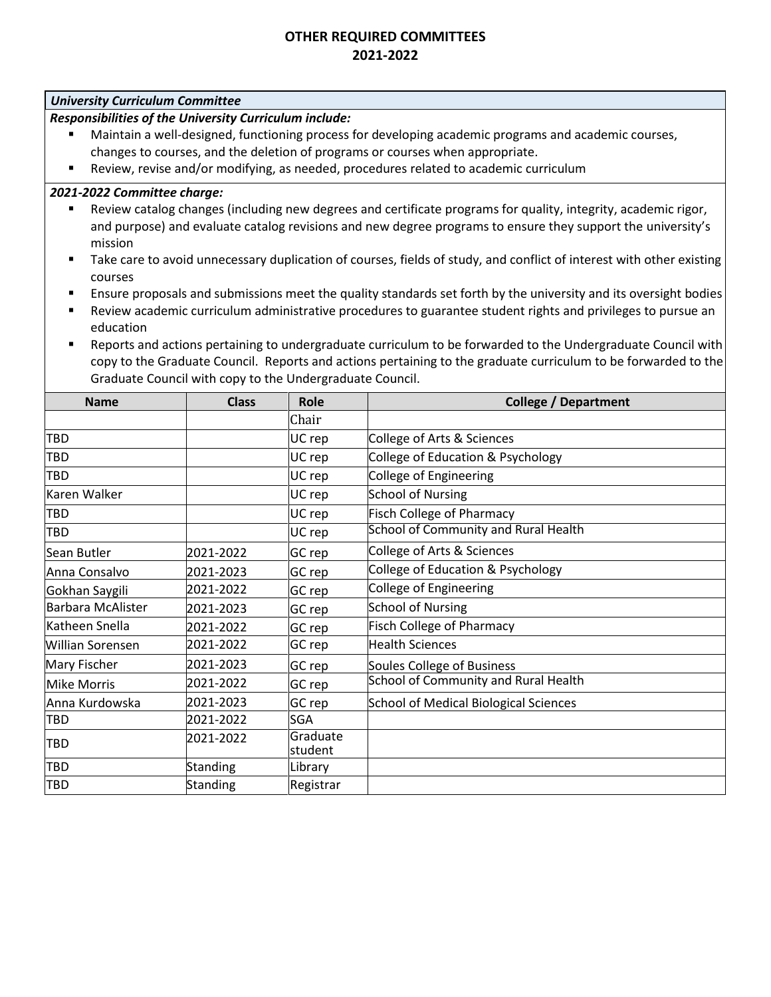### *University Curriculum Committee*

*Responsibilities of the University Curriculum include:*

- Maintain a well-designed, functioning process for developing academic programs and academic courses, changes to courses, and the deletion of programs or courses when appropriate.
- Review, revise and/or modifying, as needed, procedures related to academic curriculum

- Review catalog changes (including new degrees and certificate programs for quality, integrity, academic rigor, and purpose) and evaluate catalog revisions and new degree programs to ensure they support the university's mission
- Take care to avoid unnecessary duplication of courses, fields of study, and conflict of interest with other existing courses
- Ensure proposals and submissions meet the quality standards set forth by the university and its oversight bodies
- Review academic curriculum administrative procedures to guarantee student rights and privileges to pursue an education
- Reports and actions pertaining to undergraduate curriculum to be forwarded to the Undergraduate Council with copy to the Graduate Council. Reports and actions pertaining to the graduate curriculum to be forwarded to the Graduate Council with copy to the Undergraduate Council.

| <b>Name</b>              | <b>Class</b> | Role                | <b>College / Department</b>                  |
|--------------------------|--------------|---------------------|----------------------------------------------|
|                          |              | Chair               |                                              |
| <b>TBD</b>               |              | UC rep              | College of Arts & Sciences                   |
| <b>TBD</b>               |              | UC rep              | College of Education & Psychology            |
| <b>TBD</b>               |              | UC rep              | College of Engineering                       |
| Karen Walker             |              | UC rep              | <b>School of Nursing</b>                     |
| <b>TBD</b>               |              | UC rep              | <b>Fisch College of Pharmacy</b>             |
| <b>TBD</b>               |              | UC rep              | School of Community and Rural Health         |
| Sean Butler              | 2021-2022    | GC rep              | College of Arts & Sciences                   |
| Anna Consalvo            | 2021-2023    | GC rep              | College of Education & Psychology            |
| Gokhan Saygili           | 2021-2022    | GC rep              | <b>College of Engineering</b>                |
| <b>Barbara McAlister</b> | 2021-2023    | GC rep              | <b>School of Nursing</b>                     |
| Katheen Snella           | 2021-2022    | GC rep              | <b>Fisch College of Pharmacy</b>             |
| <b>Willian Sorensen</b>  | 2021-2022    | GC rep              | <b>Health Sciences</b>                       |
| Mary Fischer             | 2021-2023    | GC rep              | <b>Soules College of Business</b>            |
| <b>Mike Morris</b>       | 2021-2022    | GC rep              | <b>School of Community and Rural Health</b>  |
| Anna Kurdowska           | 2021-2023    | GC rep              | <b>School of Medical Biological Sciences</b> |
| <b>TBD</b>               | 2021-2022    | <b>SGA</b>          |                                              |
| <b>TBD</b>               | 2021-2022    | Graduate<br>student |                                              |
| <b>TBD</b>               | Standing     | Library             |                                              |
| <b>TBD</b>               | Standing     | Registrar           |                                              |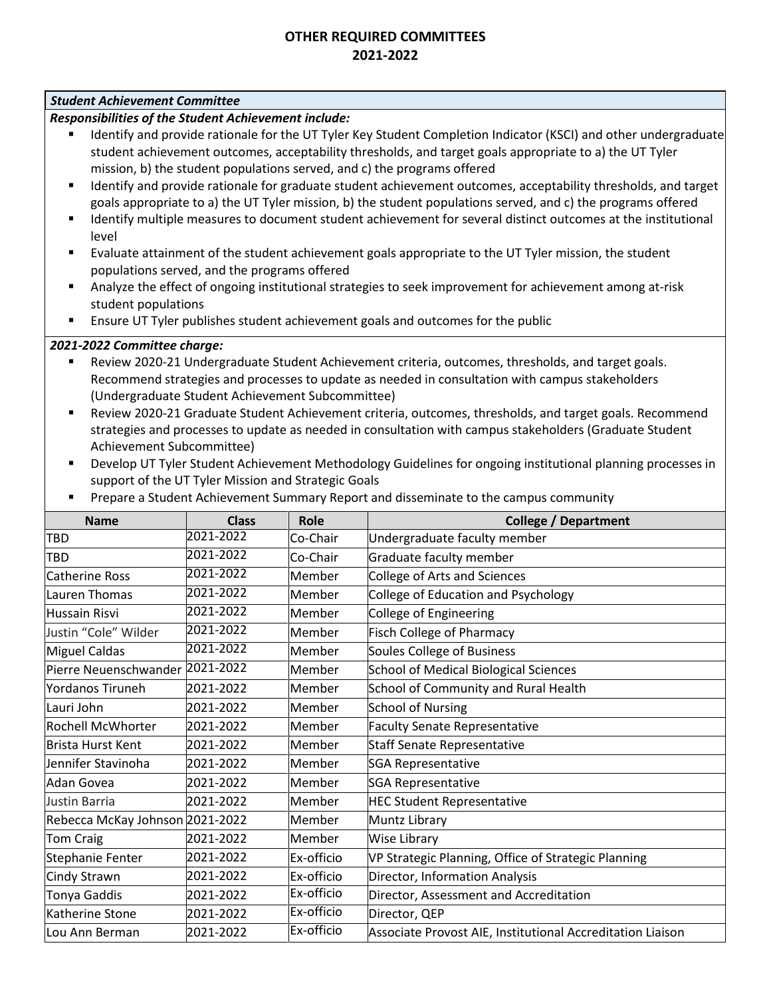### *Student Achievement Committee*

*Responsibilities of the Student Achievement include:*

- Identify and provide rationale for the UT Tyler Key Student Completion Indicator (KSCI) and other undergraduate student achievement outcomes, acceptability thresholds, and target goals appropriate to a) the UT Tyler mission, b) the student populations served, and c) the programs offered
- Identify and provide rationale for graduate student achievement outcomes, acceptability thresholds, and target goals appropriate to a) the UT Tyler mission, b) the student populations served, and c) the programs offered
- Identify multiple measures to document student achievement for several distinct outcomes at the institutional level
- Evaluate attainment of the student achievement goals appropriate to the UT Tyler mission, the student populations served, and the programs offered
- Analyze the effect of ongoing institutional strategies to seek improvement for achievement among at-risk student populations
- **E** Ensure UT Tyler publishes student achievement goals and outcomes for the public

- Review 2020-21 Undergraduate Student Achievement criteria, outcomes, thresholds, and target goals. Recommend strategies and processes to update as needed in consultation with campus stakeholders (Undergraduate Student Achievement Subcommittee)
- Review 2020-21 Graduate Student Achievement criteria, outcomes, thresholds, and target goals. Recommend strategies and processes to update as needed in consultation with campus stakeholders (Graduate Student Achievement Subcommittee)
- Develop UT Tyler Student Achievement Methodology Guidelines for ongoing institutional planning processes in support of the UT Tyler Mission and Strategic Goals
- Prepare a Student Achievement Summary Report and disseminate to the campus community

| <b>Name</b>                     | <b>Class</b> | Role       | <b>College / Department</b>                                |
|---------------------------------|--------------|------------|------------------------------------------------------------|
| <b>TBD</b>                      | 2021-2022    | Co-Chair   | Undergraduate faculty member                               |
| <b>TBD</b>                      | 2021-2022    | Co-Chair   | Graduate faculty member                                    |
| <b>Catherine Ross</b>           | 2021-2022    | Member     | <b>College of Arts and Sciences</b>                        |
| Lauren Thomas                   | 2021-2022    | Member     | College of Education and Psychology                        |
| Hussain Risvi                   | 2021-2022    | Member     | <b>College of Engineering</b>                              |
| Justin "Cole" Wilder            | 2021-2022    | Member     | <b>Fisch College of Pharmacy</b>                           |
| Miguel Caldas                   | 2021-2022    | Member     | <b>Soules College of Business</b>                          |
| Pierre Neuenschwander 2021-2022 |              | Member     | <b>School of Medical Biological Sciences</b>               |
| <b>Yordanos Tiruneh</b>         | 2021-2022    | Member     | School of Community and Rural Health                       |
| lLauri John                     | 2021-2022    | Member     | <b>School of Nursing</b>                                   |
| <b>Rochell McWhorter</b>        | 2021-2022    | Member     | <b>Faculty Senate Representative</b>                       |
| Brista Hurst Kent               | 2021-2022    | Member     | <b>Staff Senate Representative</b>                         |
| Jennifer Stavinoha              | 2021-2022    | Member     | <b>SGA Representative</b>                                  |
| Adan Govea                      | 2021-2022    | Member     | <b>SGA Representative</b>                                  |
| Justin Barria                   | 2021-2022    | Member     | <b>HEC Student Representative</b>                          |
| Rebecca McKay Johnson 2021-2022 |              | Member     | Muntz Library                                              |
| <b>Tom Craig</b>                | 2021-2022    | Member     | <b>Wise Library</b>                                        |
| Stephanie Fenter                | 2021-2022    | Ex-officio | VP Strategic Planning, Office of Strategic Planning        |
| Cindy Strawn                    | 2021-2022    | Ex-officio | Director, Information Analysis                             |
| <b>Tonya Gaddis</b>             | 2021-2022    | Ex-officio | Director, Assessment and Accreditation                     |
| Katherine Stone                 | 2021-2022    | Ex-officio | Director, QEP                                              |
| Lou Ann Berman                  | 2021-2022    | Ex-officio | Associate Provost AIE, Institutional Accreditation Liaison |